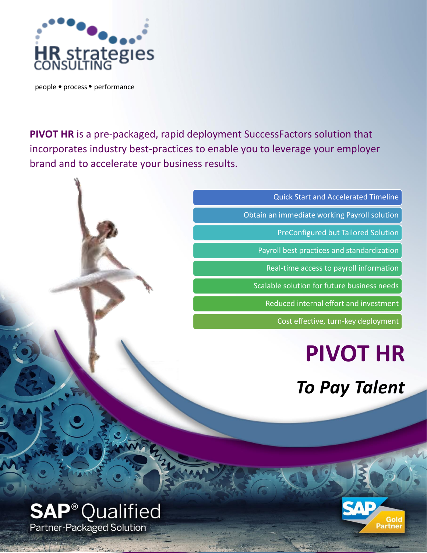

people · process · performance

**PIVOT HR** is a pre-packaged, rapid deployment SuccessFactors solution that incorporates industry best-practices to enable you to leverage your employer brand and to accelerate your business results.

Quick Start and Accelerated Timeline

Obtain an immediate working Payroll solution

PreConfigured but Tailored Solution

Payroll best practices and standardization

Real-time access to payroll information

Scalable solution for future business needs

Reduced internal effort and investment

Cost effective, turn-key deployment

# **PIVOT HR**

*To Pay Talent*



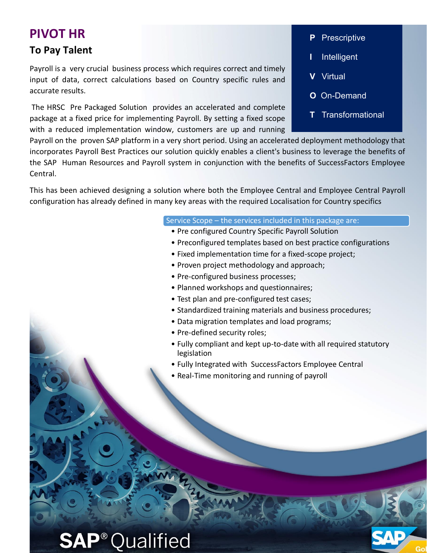### **PIVOT HR**

### **To Pay Talent**

Payroll is a very crucial business process which requires correct and timely input of data, correct calculations based on Country specific rules and accurate results.

The HRSC Pre Packaged Solution provides an accelerated and complete package at a fixed price for implementing Payroll. By setting a fixed scope with a reduced implementation window, customers are up and running

#### **P** Prescriptive

- **I** Intelligent
- **V** Virtual
- **O** On-Demand
- **T** Transformational

Payroll on the proven SAP platform in a very short period. Using an accelerated deployment methodology that incorporates Payroll Best Practices our solution quickly enables a client's business to leverage the benefits of the SAP Human Resources and Payroll system in conjunction with the benefits of SuccessFactors Employee Central.

This has been achieved designing a solution where both the Employee Central and Employee Central Payroll configuration has already defined in many key areas with the required Localisation for Country specifics

#### Service Scope – the services included in this package are:

- Pre configured Country Specific Payroll Solution
- Preconfigured templates based on best practice configurations
- Fixed implementation time for a fixed-scope project;
- Proven project methodology and approach;
- Pre-configured business processes;
- Planned workshops and questionnaires;
- Test plan and pre-configured test cases;
- Standardized training materials and business procedures;
- Data migration templates and load programs;
- Pre-defined security roles;
- Fully compliant and kept up-to-date with all required statutory legislation
- Fully Integrated with SuccessFactors Employee Central
- Real-Time monitoring and running of payroll

## **SAP<sup>®</sup>Qualified**